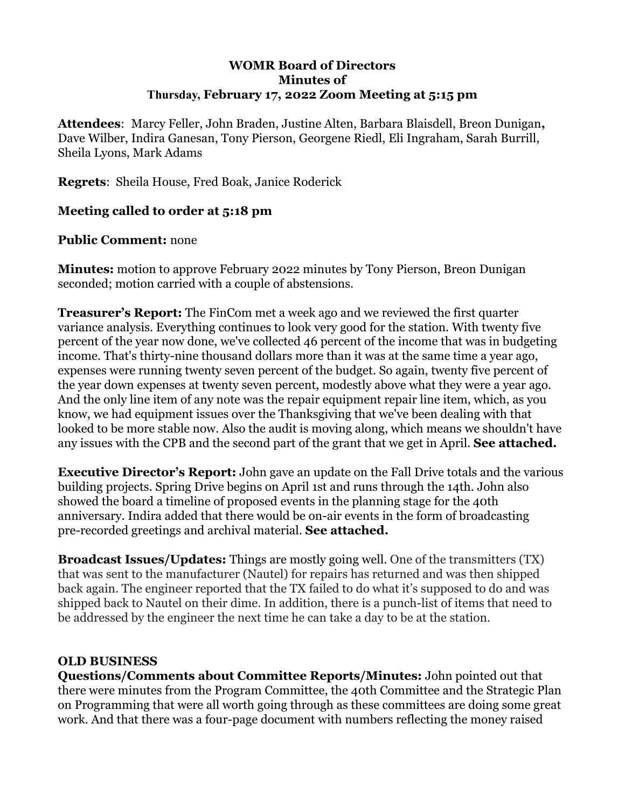#### **WOMR Board of Directors Minutes of Thursday, February 17, 2022 Zoom Meeting at 5:15 pm**

**Attendees**: Marcy Feller, John Braden, Justine Alten, Barbara Blaisdell, Breon Dunigan**,** Dave Wilber, Indira Ganesan, Tony Pierson, Georgene Riedl, Eli Ingraham, Sarah Burrill, Sheila Lyons, Mark Adams

**Regrets**: Sheila House, Fred Boak, Janice Roderick

#### **Meeting called to order at 5:18 pm**

#### **Public Comment:** none

**Minutes:** motion to approve February 2022 minutes by Tony Pierson, Breon Dunigan seconded; motion carried with a couple of abstensions.

**Treasurer's Report:** The FinCom met a week ago and we reviewed the first quarter variance analysis. Everything continues to look very good for the station. With twenty five percent of the year now done, we've collected 46 percent of the income that was in budgeting income. That's thirty-nine thousand dollars more than it was at the same time a year ago, expenses were running twenty seven percent of the budget. So again, twenty five percent of the year down expenses at twenty seven percent, modestly above what they were a year ago. And the only line item of any note was the repair equipment repair line item, which, as you know, we had equipment issues over the Thanksgiving that we've been dealing with that looked to be more stable now. Also the audit is moving along, which means we shouldn't have any issues with the CPB and the second part of the grant that we get in April. **See attached.**

**Executive Director's Report:** John gave an update on the Fall Drive totals and the various building projects. Spring Drive begins on April 1st and runs through the 14th. John also showed the board a timeline of proposed events in the planning stage for the 40th anniversary. Indira added that there would be on-air events in the form of broadcasting pre-recorded greetings and archival material. **See attached.**

**Broadcast Issues/Updates:** Things are mostly going well. One of the transmitters (TX) that was sent to the manufacturer (Nautel) for repairs has returned and was then shipped back again. The engineer reported that the TX failed to do what it's supposed to do and was shipped back to Nautel on their dime. In addition, there is a punch-list of items that need to be addressed by the engineer the next time he can take a day to be at the station.

#### **OLD BUSINESS**

**Questions/Comments about Committee Reports/Minutes:** John pointed out that there were minutes from the Program Committee, the 40th Committee and the Strategic Plan on Programming that were all worth going through as these committees are doing some great work. And that there was a four-page document with numbers reflecting the money raised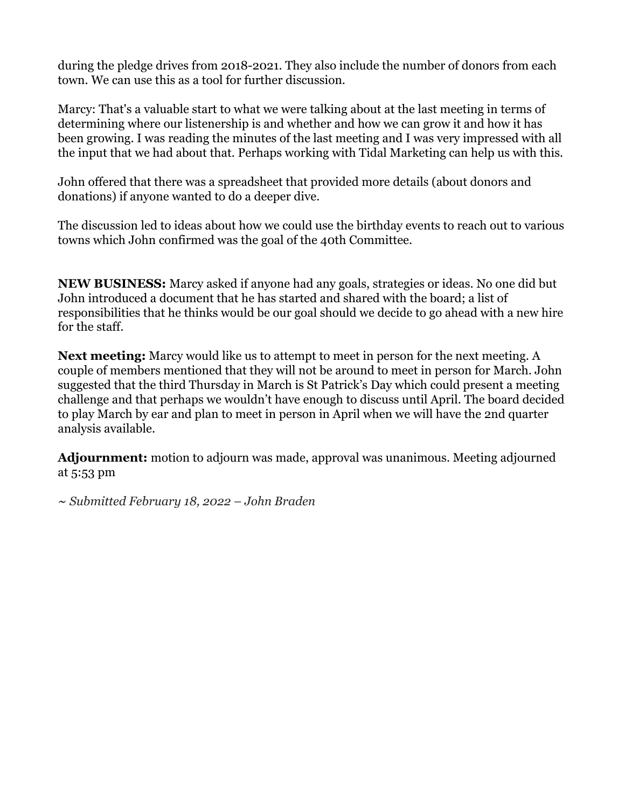during the pledge drives from 2018-2021. They also include the number of donors from each town. We can use this as a tool for further discussion.

Marcy: That's a valuable start to what we were talking about at the last meeting in terms of determining where our listenership is and whether and how we can grow it and how it has been growing. I was reading the minutes of the last meeting and I was very impressed with all the input that we had about that. Perhaps working with Tidal Marketing can help us with this.

John offered that there was a spreadsheet that provided more details (about donors and donations) if anyone wanted to do a deeper dive.

The discussion led to ideas about how we could use the birthday events to reach out to various towns which John confirmed was the goal of the 40th Committee.

**NEW BUSINESS:** Marcy asked if anyone had any goals, strategies or ideas. No one did but John introduced a document that he has started and shared with the board; a list of responsibilities that he thinks would be our goal should we decide to go ahead with a new hire for the staff.

**Next meeting:** Marcy would like us to attempt to meet in person for the next meeting. A couple of members mentioned that they will not be around to meet in person for March. John suggested that the third Thursday in March is St Patrick's Day which could present a meeting challenge and that perhaps we wouldn't have enough to discuss until April. The board decided to play March by ear and plan to meet in person in April when we will have the 2nd quarter analysis available.

**Adjournment:** motion to adjourn was made, approval was unanimous. Meeting adjourned at 5:53 pm

*~ Submitted February 18, 2022 – John Braden*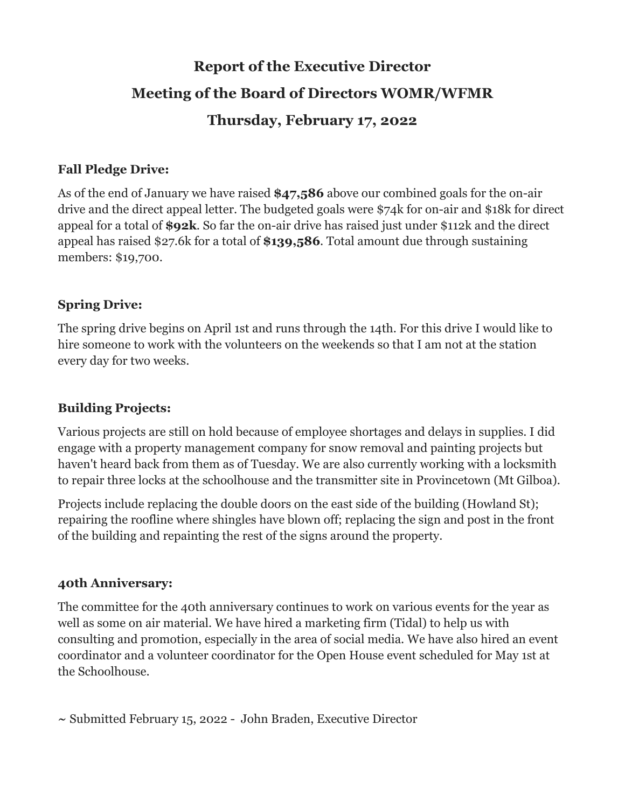## **Report of the Executive Director Meeting of the Board of Directors WOMR/WFMR Thursday, February 17, 2022**

#### **Fall Pledge Drive:**

As of the end of January we have raised **\$47,586** above our combined goals for the on-air drive and the direct appeal letter. The budgeted goals were \$74k for on-air and \$18k for direct appeal for a total of **\$92k**. So far the on-air drive has raised just under \$112k and the direct appeal has raised \$27.6k for a total of **\$139,586**. Total amount due through sustaining members: \$19,700.

#### **Spring Drive:**

The spring drive begins on April 1st and runs through the 14th. For this drive I would like to hire someone to work with the volunteers on the weekends so that I am not at the station every day for two weeks.

#### **Building Projects:**

Various projects are still on hold because of employee shortages and delays in supplies. I did engage with a property management company for snow removal and painting projects but haven't heard back from them as of Tuesday. We are also currently working with a locksmith to repair three locks at the schoolhouse and the transmitter site in Provincetown (Mt Gilboa).

Projects include replacing the double doors on the east side of the building (Howland St); repairing the roofline where shingles have blown off; replacing the sign and post in the front of the building and repainting the rest of the signs around the property.

#### **40th Anniversary:**

The committee for the 40th anniversary continues to work on various events for the year as well as some on air material. We have hired a marketing firm (Tidal) to help us with consulting and promotion, especially in the area of social media. We have also hired an event coordinator and a volunteer coordinator for the Open House event scheduled for May 1st at the Schoolhouse.

**~** Submitted February 15, 2022 - John Braden, Executive Director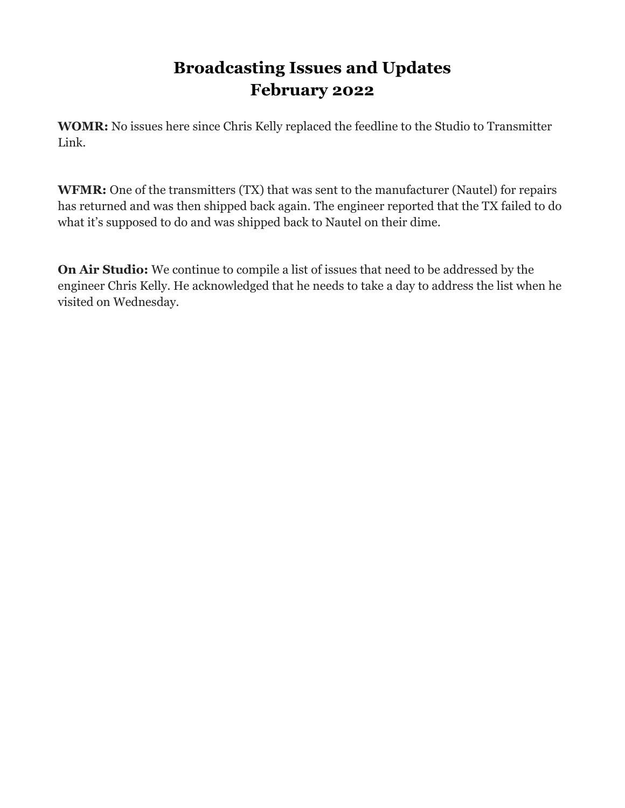### **Broadcasting Issues and Updates February 2022**

**WOMR:** No issues here since Chris Kelly replaced the feedline to the Studio to Transmitter Link.

**WFMR:** One of the transmitters (TX) that was sent to the manufacturer (Nautel) for repairs has returned and was then shipped back again. The engineer reported that the TX failed to do what it's supposed to do and was shipped back to Nautel on their dime.

**On Air Studio:** We continue to compile a list of issues that need to be addressed by the engineer Chris Kelly. He acknowledged that he needs to take a day to address the list when he visited on Wednesday.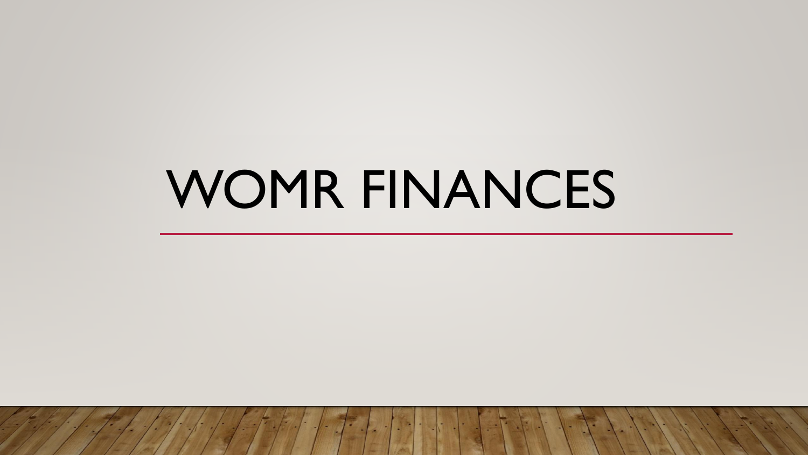# WOMR FINANCES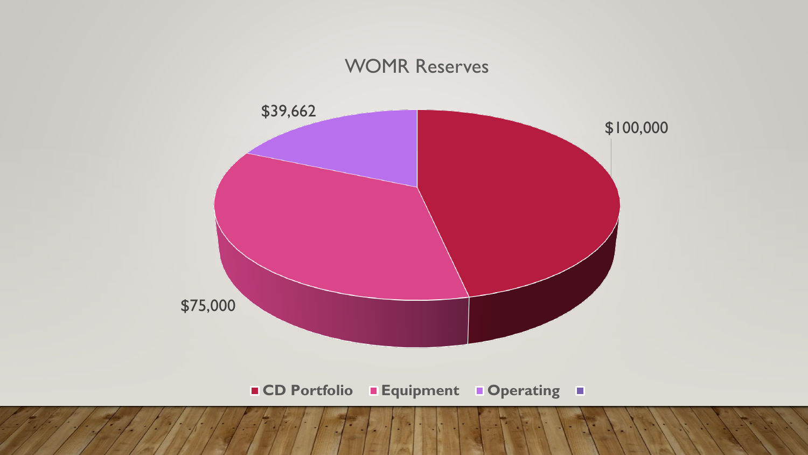